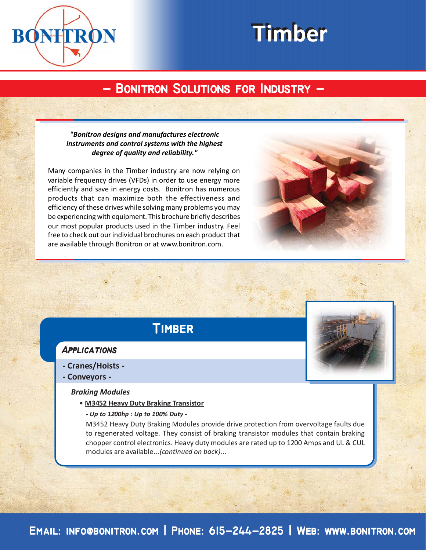

# **Timber Timber**

## **- Bonitron Solutions for Industry - - Bonitron Solutions for Industry -**

#### *"Bonitron designs and manufactures electronic instruments and control systems with the highest degree of quality and reliability."*

Many companies in the Timber industry are now relying on variable frequency drives (VFDs) in order to use energy more efficiently and save in energy costs. Bonitron has numerous products that can maximize both the effectiveness and efficiency of these drives while solving many problems you may be experiencing with equipment. This brochure briefly describes our most popular products used in the Timber industry. Feel free to check out our individual brochures on each product that are available through Bonitron or at www.bonitron.com.

# **Timber**

#### **Applications**

- **Cranes/Hoists -**
- **Conveyors -**

#### *Braking Modules*

- **M3452 Heavy Duty Braking Transistor**
	- *Up to 1200hp : Up to 100% Duty -*

M3452 Heavy Duty Braking Modules provide drive protection from overvoltage faults due to regenerated voltage. They consist of braking transistor modules that contain braking chopper control electronics. Heavy duty modules are rated up to 1200 Amps and UL & CUL modules are available...*(continued on back)*...